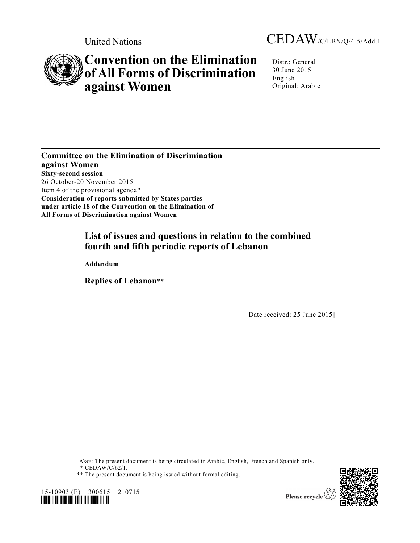



# **Convention on the Elimination of All Forms of Discrimination against Women**

Distr.: General 30 June 2015 English Original: Arabic

**Committee on the Elimination of Discrimination against Women Sixty-second session**  26 October-20 November 2015 Item 4 of the provisional agenda\* **Consideration of reports submitted by States parties under article 18 of the Convention on the Elimination of All Forms of Discrimination against Women** 

# **List of issues and questions in relation to the combined fourth and fifth periodic reports of Lebanon**

 **Addendum** 

 **Replies of Lebanon**\*\*

[Date received: 25 June 2015]

*Note*: The present document is being circulated in Arabic, English, French and Spanish only.

*\** CEDAW/C/62/1.



15-10903 (E) 300615 210715 *\*1510903\** 

Please recycle

<sup>\*\*</sup> The present document is being issued without formal editing.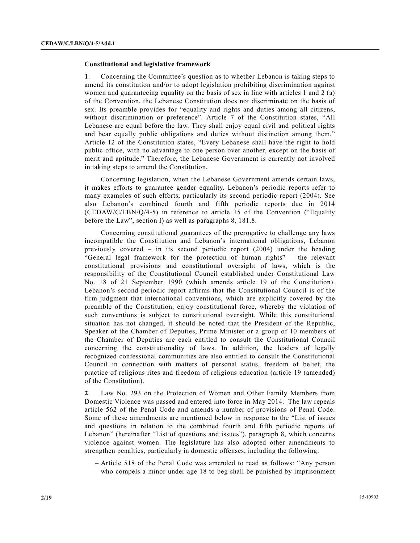# **Constitutional and legislative framework**

**1**. Concerning the Committee's question as to whether Lebanon is taking steps to amend its constitution and/or to adopt legislation prohibiting discrimination against women and guaranteeing equality on the basis of sex in line with articles 1 and 2 (a) of the Convention, the Lebanese Constitution does not discriminate on the basis of sex. Its preamble provides for "equality and rights and duties among all citizens, without discrimination or preference". Article 7 of the Constitution states, "All Lebanese are equal before the law. They shall enjoy equal civil and political rights and bear equally public obligations and duties without distinction among them." Article 12 of the Constitution states, "Every Lebanese shall have the right to hold public office, with no advantage to one person over another, except on the basis of merit and aptitude." Therefore, the Lebanese Government is currently not involved in taking steps to amend the Constitution.

 Concerning legislation, when the Lebanese Government amends certain laws, it makes efforts to guarantee gender equality. Lebanon's periodic reports refer to many examples of such efforts, particularly its second periodic report (2004). See also Lebanon's combined fourth and fifth periodic reports due in 2014  $(CEDAW/C/LBN/Q/4-5)$  in reference to article 15 of the Convention ("Equality before the Law", section I) as well as paragraphs 8, 181.8.

 Concerning constitutional guarantees of the prerogative to challenge any laws incompatible the Constitution and Lebanon's international obligations, Lebanon previously covered – in its second periodic report (2004) under the heading "General legal framework for the protection of human rights" – the relevant constitutional provisions and constitutional oversight of laws, which is the responsibility of the Constitutional Council established under Constitutional Law No. 18 of 21 September 1990 (which amends article 19 of the Constitution). Lebanon's second periodic report affirms that the Constitutional Council is of the firm judgment that international conventions, which are explicitly covered by the preamble of the Constitution, enjoy constitutional force, whereby the violation of such conventions is subject to constitutional oversight. While this constitutional situation has not changed, it should be noted that the President of the Republic, Speaker of the Chamber of Deputies, Prime Minister or a group of 10 members of the Chamber of Deputies are each entitled to consult the Constitutional Council concerning the constitutionality of laws. In addition, the leaders of legally recognized confessional communities are also entitled to consult the Constitutional Council in connection with matters of personal status, freedom of belief, the practice of religious rites and freedom of religious education (article 19 (amended) of the Constitution).

**2**. Law No. 293 on the Protection of Women and Other Family Members from Domestic Violence was passed and entered into force in May 2014. The law repeals article 562 of the Penal Code and amends a number of provisions of Penal Code. Some of these amendments are mentioned below in response to the "List of issues and questions in relation to the combined fourth and fifth periodic reports of Lebanon" (hereinafter "List of questions and issues"), paragraph 8, which concerns violence against women. The legislature has also adopted other amendments to strengthen penalties, particularly in domestic offenses, including the following:

 – Article 518 of the Penal Code was amended to read as follows: "Any person who compels a minor under age 18 to beg shall be punished by imprisonment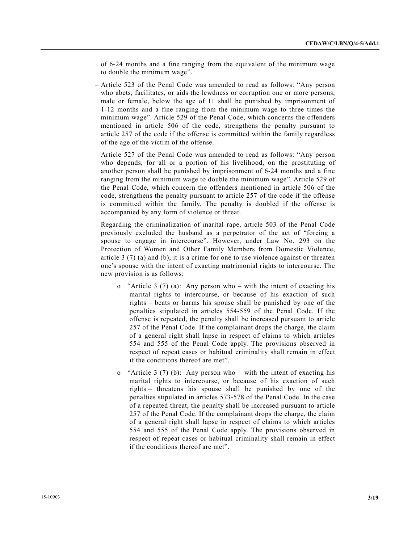of 6-24 months and a fine ranging from the equivalent of the minimum wage to double the minimum wage".

- Article 523 of the Penal Code was amended to read as follows: "Any person who abets, facilitates, or aids the lewdness or corruption one or more persons, male or female, below the age of 11 shall be punished by imprisonment of 1-12 months and a fine ranging from the minimum wage to three times the minimum wage". Article 529 of the Penal Code, which concerns the offenders mentioned in article 506 of the code, strengthens the penalty pursuant to article 257 of the code if the offense is committed within the family regardless of the age of the victim of the offense.
- Article 527 of the Penal Code was amended to read as follows: "Any person who depends, for all or a portion of his livelihood, on the prostituting of another person shall be punished by imprisonment of 6-24 months and a fine ranging from the minimum wage to double the minimum wage". Article 529 of the Penal Code, which concern the offenders mentioned in article 506 of the code, strengthens the penalty pursuant to article 257 of the code if the offense is committed within the family. The penalty is doubled if the offense is accompanied by any form of violence or threat.
- Regarding the criminalization of marital rape, article 503 of the Penal Code previously excluded the husband as a perpetrator of the act of "forcing a spouse to engage in intercourse". However, under Law No. 293 on the Protection of Women and Other Family Members from Domestic Violence, article 3 (7) (a) and (b), it is a crime for one to use violence against or threaten one's spouse with the intent of exacting matrimonial rights to intercourse. The new provision is as follows:
	- o "Article 3 (7) (a): Any person who with the intent of exacting his marital rights to intercourse, or because of his exaction of such rights – beats or harms his spouse shall be punished by one of the penalties stipulated in articles 554-559 of the Penal Code. If the offense is repeated, the penalty shall be increased pursuant to article 257 of the Penal Code. If the complainant drops the charge, the claim of a general right shall lapse in respect of claims to which articles 554 and 555 of the Penal Code apply. The provisions observed in respect of repeat cases or habitual criminality shall remain in effect if the conditions thereof are met".
	- "Article 3 (7) (b): Any person who with the intent of exacting his marital rights to intercourse, or because of his exaction of such rights – threatens his spouse shall be punished by one of the penalties stipulated in articles 573-578 of the Penal Code. In the case of a repeated threat, the penalty shall be increased pursuant to article 257 of the Penal Code. If the complainant drops the charge, the claim of a general right shall lapse in respect of claims to which articles 554 and 555 of the Penal Code apply. The provisions observed in respect of repeat cases or habitual criminality shall remain in effect if the conditions thereof are met".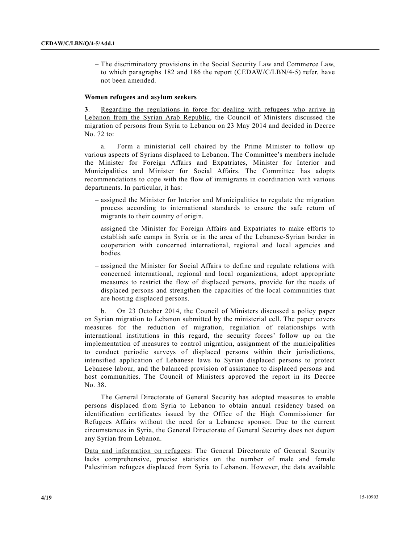– The discriminatory provisions in the Social Security Law and Commerce Law, to which paragraphs 182 and 186 the report (CEDAW/C/LBN/4-5) refer, have not been amended.

#### **Women refugees and asylum seekers**

**3**. Regarding the regulations in force for dealing with refugees who arrive in Lebanon from the Syrian Arab Republic, the Council of Ministers discussed the migration of persons from Syria to Lebanon on 23 May 2014 and decided in Decree No. 72 to:

 a. Form a ministerial cell chaired by the Prime Minister to follow up various aspects of Syrians displaced to Lebanon. The Committee's members include the Minister for Foreign Affairs and Expatriates, Minister for Interior and Municipalities and Minister for Social Affairs. The Committee has adopts recommendations to cope with the flow of immigrants in coordination with various departments. In particular, it has:

- assigned the Minister for Interior and Municipalities to regulate the migration process according to international standards to ensure the safe return of migrants to their country of origin.
- assigned the Minister for Foreign Affairs and Expatriates to make efforts to establish safe camps in Syria or in the area of the Lebanese-Syrian border in cooperation with concerned international, regional and local agencies and bodies.
- assigned the Minister for Social Affairs to define and regulate relations with concerned international, regional and local organizations, adopt appropriate measures to restrict the flow of displaced persons, provide for the needs of displaced persons and strengthen the capacities of the local communities that are hosting displaced persons.

 b. On 23 October 2014, the Council of Ministers discussed a policy paper on Syrian migration to Lebanon submitted by the ministerial cell. The paper covers measures for the reduction of migration, regulation of relationships with international institutions in this regard, the security forces' follow up on the implementation of measures to control migration, assignment of the municipalities to conduct periodic surveys of displaced persons within their jurisdictions, intensified application of Lebanese laws to Syrian displaced persons to protect Lebanese labour, and the balanced provision of assistance to displaced persons and host communities. The Council of Ministers approved the report in its Decree No. 38.

 The General Directorate of General Security has adopted measures to enable persons displaced from Syria to Lebanon to obtain annual residency based on identification certificates issued by the Office of the High Commissioner for Refugees Affairs without the need for a Lebanese sponsor. Due to the current circumstances in Syria, the General Directorate of General Security does not deport any Syrian from Lebanon.

Data and information on refugees: The General Directorate of General Security lacks comprehensive, precise statistics on the number of male and female Palestinian refugees displaced from Syria to Lebanon. However, the data available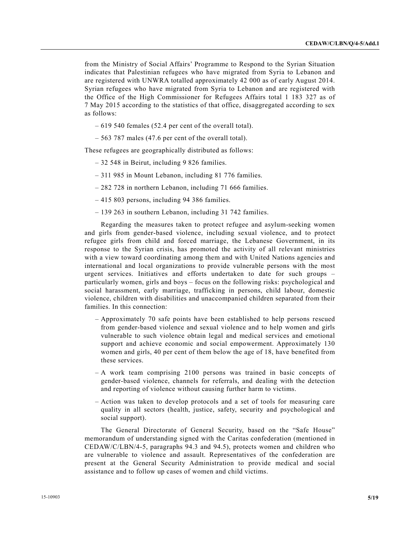from the Ministry of Social Affairs' Programme to Respond to the Syrian Situation indicates that Palestinian refugees who have migrated from Syria to Lebanon and are registered with UNWRA totalled approximately 42 000 as of early August 2014. Syrian refugees who have migrated from Syria to Lebanon and are registered with the Office of the High Commissioner for Refugees Affairs total 1 183 327 as of 7 May 2015 according to the statistics of that office, disaggregated according to sex as follows:

- 619 540 females (52.4 per cent of the overall total).
- 563 787 males (47.6 per cent of the overall total).

These refugees are geographically distributed as follows:

- 32 548 in Beirut, including 9 826 families.
- 311 985 in Mount Lebanon, including 81 776 families.
- 282 728 in northern Lebanon, including 71 666 families.
- 415 803 persons, including 94 386 families.
- 139 263 in southern Lebanon, including 31 742 families.

 Regarding the measures taken to protect refugee and asylum-seeking women and girls from gender-based violence, including sexual violence, and to protect refugee girls from child and forced marriage, the Lebanese Government, in its response to the Syrian crisis, has promoted the activity of all relevant ministries with a view toward coordinating among them and with United Nations agencies and international and local organizations to provide vulnerable persons with the most urgent services. Initiatives and efforts undertaken to date for such groups – particularly women, girls and boys – focus on the following risks: psychological and social harassment, early marriage, trafficking in persons, child labour, domestic violence, children with disabilities and unaccompanied children separated from their families. In this connection:

- Approximately 70 safe points have been established to help persons rescued from gender-based violence and sexual violence and to help women and girls vulnerable to such violence obtain legal and medical services and emotional support and achieve economic and social empowerment. Approximately 130 women and girls, 40 per cent of them below the age of 18, have benefited from these services.
- A work team comprising 2100 persons was trained in basic concepts of gender-based violence, channels for referrals, and dealing with the detection and reporting of violence without causing further harm to victims.
- Action was taken to develop protocols and a set of tools for measuring care quality in all sectors (health, justice, safety, security and psychological and social support).

 The General Directorate of General Security, based on the "Safe House" memorandum of understanding signed with the Caritas confederation (mentioned in CEDAW/C/LBN/4-5, paragraphs 94.3 and 94.5), protects women and children who are vulnerable to violence and assault. Representatives of the confederation are present at the General Security Administration to provide medical and social assistance and to follow up cases of women and child victims.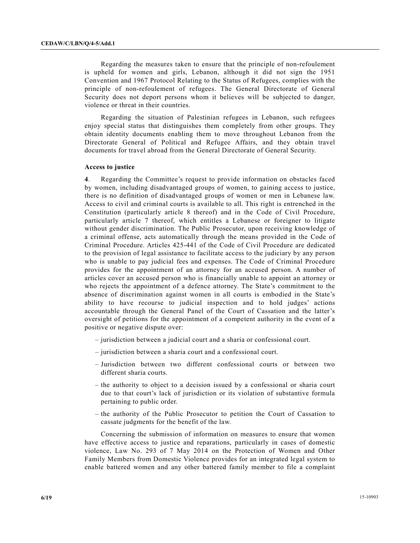Regarding the measures taken to ensure that the principle of non-refoulement is upheld for women and girls, Lebanon, although it did not sign the 1951 Convention and 1967 Protocol Relating to the Status of Refugees, complies with the principle of non-refoulement of refugees. The General Directorate of General Security does not deport persons whom it believes will be subjected to danger, violence or threat in their countries.

 Regarding the situation of Palestinian refugees in Lebanon, such refugees enjoy special status that distinguishes them completely from other groups. They obtain identity documents enabling them to move throughout Lebanon from the Directorate General of Political and Refugee Affairs, and they obtain travel documents for travel abroad from the General Directorate of General Security.

#### **Access to justice**

**4**. Regarding the Committee's request to provide information on obstacles faced by women, including disadvantaged groups of women, to gaining access to justice, there is no definition of disadvantaged groups of women or men in Lebanese law. Access to civil and criminal courts is available to all. This right is entrenched in the Constitution (particularly article 8 thereof) and in the Code of Civil Procedure, particularly article 7 thereof, which entitles a Lebanese or foreigner to litigate without gender discrimination. The Public Prosecutor, upon receiving knowledge of a criminal offense, acts automatically through the means provided in the Code of Criminal Procedure. Articles 425-441 of the Code of Civil Procedure are dedicated to the provision of legal assistance to facilitate access to the judiciary by any person who is unable to pay judicial fees and expenses. The Code of Criminal Procedure provides for the appointment of an attorney for an accused person. A number of articles cover an accused person who is financially unable to appoint an attorney or who rejects the appointment of a defence attorney. The State's commitment to the absence of discrimination against women in all courts is embodied in the State's ability to have recourse to judicial inspection and to hold judges' actions accountable through the General Panel of the Court of Cassation and the latter's oversight of petitions for the appointment of a competent authority in the event of a positive or negative dispute over:

- jurisdiction between a judicial court and a sharia or confessional court.
- jurisdiction between a sharia court and a confessional court.
- Jurisdiction between two different confessional courts or between two different sharia courts.
- the authority to object to a decision issued by a confessional or sharia court due to that court's lack of jurisdiction or its violation of substantive formula pertaining to public order.
- the authority of the Public Prosecutor to petition the Court of Cassation to cassate judgments for the benefit of the law.

 Concerning the submission of information on measures to ensure that women have effective access to justice and reparations, particularly in cases of domestic violence, Law No. 293 of 7 May 2014 on the Protection of Women and Other Family Members from Domestic Violence provides for an integrated legal system to enable battered women and any other battered family member to file a complaint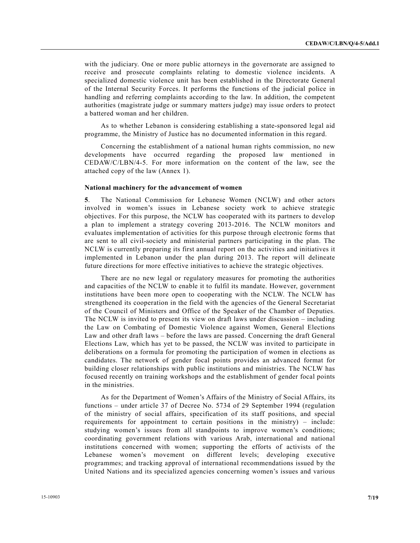with the judiciary. One or more public attorneys in the governorate are assigned to receive and prosecute complaints relating to domestic violence incidents. A specialized domestic violence unit has been established in the Directorate General of the Internal Security Forces. It performs the functions of the judicial police in handling and referring complaints according to the law. In addition, the competent authorities (magistrate judge or summary matters judge) may issue orders to protect a battered woman and her children.

 As to whether Lebanon is considering establishing a state-sponsored legal aid programme, the Ministry of Justice has no documented information in this regard.

 Concerning the establishment of a national human rights commission, no new developments have occurred regarding the proposed law mentioned in CEDAW/C/LBN/4-5. For more information on the content of the law, see the attached copy of the law (Annex 1).

#### **National machinery for the advancement of women**

**5**. The National Commission for Lebanese Women (NCLW) and other actors involved in women's issues in Lebanese society work to achieve strategic objectives. For this purpose, the NCLW has cooperated with its partners to develop a plan to implement a strategy covering 2013-2016. The NCLW monitors and evaluates implementation of activities for this purpose through electronic forms that are sent to all civil-society and ministerial partners participating in the plan. The NCLW is currently preparing its first annual report on the activities and initiatives it implemented in Lebanon under the plan during 2013. The report will delineate future directions for more effective initiatives to achieve the strategic objectives.

 There are no new legal or regulatory measures for promoting the authorities and capacities of the NCLW to enable it to fulfil its mandate. However, government institutions have been more open to cooperating with the NCLW. The NCLW has strengthened its cooperation in the field with the agencies of the General Secretariat of the Council of Ministers and Office of the Speaker of the Chamber of Deputies. The NCLW is invited to present its view on draft laws under discussion – including the Law on Combating of Domestic Violence against Women, General Elections Law and other draft laws – before the laws are passed. Concerning the draft General Elections Law, which has yet to be passed, the NCLW was invited to participate in deliberations on a formula for promoting the participation of women in elections as candidates. The network of gender focal points provides an advanced format for building closer relationships with public institutions and ministries. The NCLW has focused recently on training workshops and the establishment of gender focal points in the ministries.

 As for the Department of Women's Affairs of the Ministry of Social Affairs, its functions – under article 37 of Decree No. 5734 of 29 September 1994 (regulation of the ministry of social affairs, specification of its staff positions, and special requirements for appointment to certain positions in the ministry) – include: studying women's issues from all standpoints to improve women's conditions; coordinating government relations with various Arab, international and national institutions concerned with women; supporting the efforts of activists of the Lebanese women's movement on different levels; developing executive programmes; and tracking approval of international recommendations issued by the United Nations and its specialized agencies concerning women's issues and various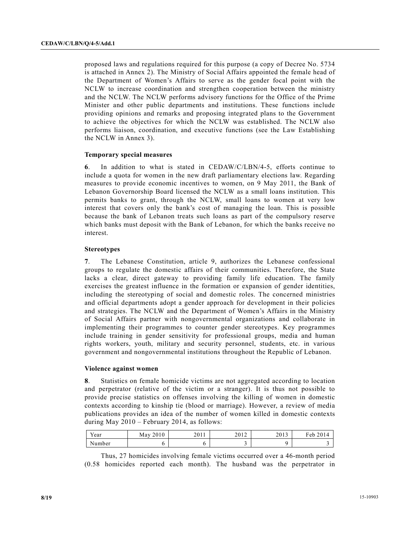proposed laws and regulations required for this purpose (a copy of Decree No. 5734 is attached in Annex 2). The Ministry of Social Affairs appointed the female head of the Department of Women's Affairs to serve as the gender focal point with the NCLW to increase coordination and strengthen cooperation between the ministry and the NCLW. The NCLW performs advisory functions for the Office of the Prime Minister and other public departments and institutions. These functions include providing opinions and remarks and proposing integrated plans to the Government to achieve the objectives for which the NCLW was established. The NCLW also performs liaison, coordination, and executive functions (see the Law Establishing the NCLW in Annex 3).

#### **Temporary special measures**

**6**. In addition to what is stated in CEDAW/C/LBN/4-5, efforts continue to include a quota for women in the new draft parliamentary elections law. Regarding measures to provide economic incentives to women, on 9 May 2011, the Bank of Lebanon Governorship Board licensed the NCLW as a small loans institution. This permits banks to grant, through the NCLW, small loans to women at very low interest that covers only the bank's cost of managing the loan. This is possible because the bank of Lebanon treats such loans as part of the compulsory reserve which banks must deposit with the Bank of Lebanon, for which the banks receive no interest.

#### **Stereotypes**

**7**. The Lebanese Constitution, article 9, authorizes the Lebanese confessional groups to regulate the domestic affairs of their communities. Therefore, the State lacks a clear, direct gateway to providing family life education. The family exercises the greatest influence in the formation or expansion of gender identities, including the stereotyping of social and domestic roles. The concerned ministries and official departments adopt a gender approach for development in their policies and strategies. The NCLW and the Department of Women's Affairs in the Ministry of Social Affairs partner with nongovernmental organizations and collaborate in implementing their programmes to counter gender stereotypes. Key programmes include training in gender sensitivity for professional groups, media and human rights workers, youth, military and security personnel, students, etc. in various government and nongovernmental institutions throughout the Republic of Lebanon.

#### **Violence against women**

**8**. Statistics on female homicide victims are not aggregated according to location and perpetrator (relative of the victim or a stranger). It is thus not possible to provide precise statistics on offenses involving the killing of women in domestic contexts according to kinship tie (blood or marriage). However, a review of media publications provides an idea of the number of women killed in domestic contexts during May 2010 – February 2014, as follows:

| <b>Y</b><br>Year | 2010<br>May | 2011 | 2012 | 2012<br>2013 | 2014<br>T1<br>Feb.<br>$\mathbf{1}^{\mathbf{d}}$ |
|------------------|-------------|------|------|--------------|-------------------------------------------------|
| √umber           |             |      |      |              |                                                 |

 Thus, 27 homicides involving female victims occurred over a 46-month period (0.58 homicides reported each month). The husband was the perpetrator in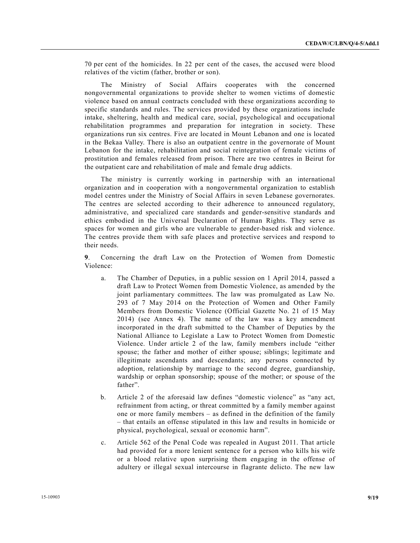70 per cent of the homicides. In 22 per cent of the cases, the accused were blood relatives of the victim (father, brother or son).

 The Ministry of Social Affairs cooperates with the concerned nongovernmental organizations to provide shelter to women victims of domestic violence based on annual contracts concluded with these organizations according to specific standards and rules. The services provided by these organizations include intake, sheltering, health and medical care, social, psychological and occupational rehabilitation programmes and preparation for integration in society. These organizations run six centres. Five are located in Mount Lebanon and one is located in the Bekaa Valley. There is also an outpatient centre in the governorate of Mount Lebanon for the intake, rehabilitation and social reintegration of female victims of prostitution and females released from prison. There are two centres in Beirut for the outpatient care and rehabilitation of male and female drug addicts.

 The ministry is currently working in partnership with an international organization and in cooperation with a nongovernmental organization to establish model centres under the Ministry of Social Affairs in seven Lebanese governorates. The centres are selected according to their adherence to announced regulatory, administrative, and specialized care standards and gender-sensitive standards and ethics embodied in the Universal Declaration of Human Rights. They serve as spaces for women and girls who are vulnerable to gender-based risk and violence. The centres provide them with safe places and protective services and respond to their needs.

**9**. Concerning the draft Law on the Protection of Women from Domestic Violence:

- a. The Chamber of Deputies, in a public session on 1 April 2014, passed a draft Law to Protect Women from Domestic Violence, as amended by the joint parliamentary committees. The law was promulgated as Law No. 293 of 7 May 2014 on the Protection of Women and Other Family Members from Domestic Violence (Official Gazette No. 21 of 15 May 2014) (see Annex 4). The name of the law was a key amendment incorporated in the draft submitted to the Chamber of Deputies by the National Alliance to Legislate a Law to Protect Women from Domestic Violence. Under article 2 of the law, family members include "either spouse; the father and mother of either spouse; siblings; legitimate and illegitimate ascendants and descendants; any persons connected by adoption, relationship by marriage to the second degree, guardianship, wardship or orphan sponsorship; spouse of the mother; or spouse of the father".
- b. Article 2 of the aforesaid law defines "domestic violence" as "any act, refrainment from acting, or threat committed by a family member against one or more family members – as defined in the definition of the family – that entails an offense stipulated in this law and results in homicide or physical, psychological, sexual or economic harm".
- c. Article 562 of the Penal Code was repealed in August 2011. That article had provided for a more lenient sentence for a person who kills his wife or a blood relative upon surprising them engaging in the offense of adultery or illegal sexual intercourse in flagrante delicto. The new law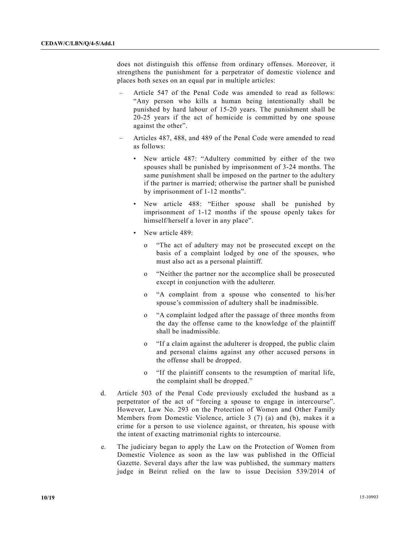does not distinguish this offense from ordinary offenses. Moreover, it strengthens the punishment for a perpetrator of domestic violence and places both sexes on an equal par in multiple articles:

- Article 547 of the Penal Code was amended to read as follows: "Any person who kills a human being intentionally shall be punished by hard labour of 15-20 years. The punishment shall be 20-25 years if the act of homicide is committed by one spouse against the other".
- Articles 487, 488, and 489 of the Penal Code were amended to read as follows:
	- New article 487: "Adultery committed by either of the two spouses shall be punished by imprisonment of 3-24 months. The same punishment shall be imposed on the partner to the adultery if the partner is married; otherwise the partner shall be punished by imprisonment of 1-12 months".
	- New article 488: "Either spouse shall be punished by imprisonment of 1-12 months if the spouse openly takes for himself/herself a lover in any place".
	- New article 489:
		- o "The act of adultery may not be prosecuted except on the basis of a complaint lodged by one of the spouses, who must also act as a personal plaintiff.
		- o "Neither the partner nor the accomplice shall be prosecuted except in conjunction with the adulterer.
		- o "A complaint from a spouse who consented to his/her spouse's commission of adultery shall be inadmissible.
		- o "A complaint lodged after the passage of three months from the day the offense came to the knowledge of the plaintiff shall be inadmissible.
		- o "If a claim against the adulterer is dropped, the public claim and personal claims against any other accused persons in the offense shall be dropped.
		- o "If the plaintiff consents to the resumption of marital life, the complaint shall be dropped."
- d. Article 503 of the Penal Code previously excluded the husband as a perpetrator of the act of "forcing a spouse to engage in intercourse". However, Law No. 293 on the Protection of Women and Other Family Members from Domestic Violence, article 3 (7) (a) and (b), makes it a crime for a person to use violence against, or threaten, his spouse with the intent of exacting matrimonial rights to intercourse.
- e. The judiciary began to apply the Law on the Protection of Women from Domestic Violence as soon as the law was published in the Official Gazette. Several days after the law was published, the summary matters judge in Beirut relied on the law to issue Decision 539/2014 of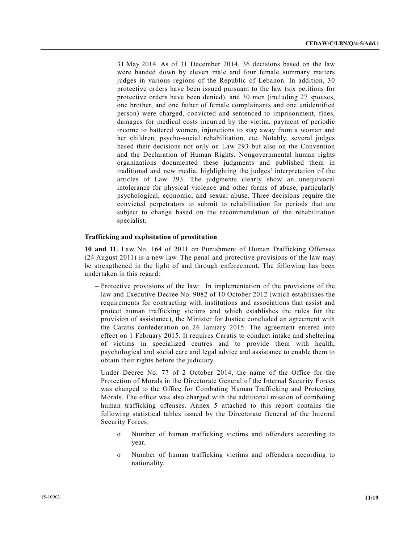31 May 2014. As of 31 December 2014, 36 decisions based on the law were handed down by eleven male and four female summary matters judges in various regions of the Republic of Lebanon. In addition, 30 protective orders have been issued pursuant to the law (six petitions for protective orders have been denied), and 30 men (including 27 spouses, one brother, and one father of female complainants and one unidentified person) were charged, convicted and sentenced to imprisonment, fines, damages for medical costs incurred by the victim, payment of periodic income to battered women, injunctions to stay away from a woman and her children, psycho-social rehabilitation, etc. Notably, several judges based their decisions not only on Law 293 but also on the Convention and the Declaration of Human Rights. Nongovernmental human rights organizations documented these judgments and published them in traditional and new media, highlighting the judges' interpretation of the articles of Law 293. The judgments clearly show an unequivocal intolerance for physical violence and other forms of abuse, particularly psychological, economic, and sexual abuse. Three decisions require the convicted perpetrators to submit to rehabilitation for periods that are subject to change based on the recommendation of the rehabilitation specialist.

#### **Trafficking and exploitation of prostitution**

**10 and 11**. Law No. 164 of 2011 on Punishment of Human Trafficking Offenses (24 August 2011) is a new law. The penal and protective provisions of the law may be strengthened in the light of and through enforcement. The following has been undertaken in this regard:

- Protective provisions of the law: In implementation of the provisions of the law and Executive Decree No. 9082 of 10 October 2012 (which establishes the requirements for contracting with institutions and associations that assist and protect human trafficking victims and which establishes the rules for the provision of assistance), the Minister for Justice concluded an agreement with the Caratis confederation on 26 January 2015. The agreement entered into effect on 1 February 2015. It requires Caratis to conduct intake and sheltering of victims in specialized centres and to provide them with health, psychological and social care and legal advice and assistance to enable them to obtain their rights before the judiciary.
- Under Decree No. 77 of 2 October 2014, the name of the Office for the Protection of Morals in the Directorate General of the Internal Security Forces was changed to the Office for Combating Human Trafficking and Protecting Morals. The office was also charged with the additional mission of combating human trafficking offenses. Annex 5 attached to this report contains the following statistical tables issued by the Directorate General of the Internal Security Forces:
	- o Number of human trafficking victims and offenders according to year.
	- o Number of human trafficking victims and offenders according to nationality.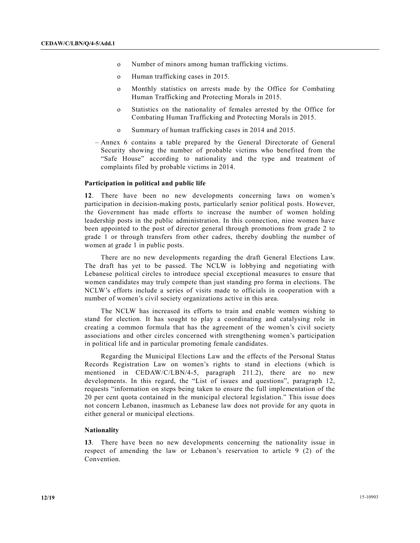- o Number of minors among human trafficking victims.
- o Human trafficking cases in 2015.
- o Monthly statistics on arrests made by the Office for Combating Human Trafficking and Protecting Morals in 2015.
- o Statistics on the nationality of females arrested by the Office for Combating Human Trafficking and Protecting Morals in 2015.
- o Summary of human trafficking cases in 2014 and 2015.
- Annex 6 contains a table prepared by the General Directorate of General Security showing the number of probable victims who benefited from the "Safe House" according to nationality and the type and treatment of complaints filed by probable victims in 2014.

#### **Participation in political and public life**

**12**. There have been no new developments concerning laws on women's participation in decision-making posts, particularly senior political posts. However, the Government has made efforts to increase the number of women holding leadership posts in the public administration. In this connection, nine women have been appointed to the post of director general through promotions from grade 2 to grade 1 or through transfers from other cadres, thereby doubling the number of women at grade 1 in public posts.

 There are no new developments regarding the draft General Elections Law. The draft has yet to be passed. The NCLW is lobbying and negotiating with Lebanese political circles to introduce special exceptional measures to ensure that women candidates may truly compete than just standing pro forma in elections. The NCLW's efforts include a series of visits made to officials in cooperation with a number of women's civil society organizations active in this area.

 The NCLW has increased its efforts to train and enable women wishing to stand for election. It has sought to play a coordinating and catalysing role in creating a common formula that has the agreement of the women's civil society associations and other circles concerned with strengthening women's participation in political life and in particular promoting female candidates.

 Regarding the Municipal Elections Law and the effects of the Personal Status Records Registration Law on women's rights to stand in elections (which is mentioned in CEDAW/C/LBN/4-5, paragraph 211.2), there are no new developments. In this regard, the "List of issues and questions", paragraph 12, requests "information on steps being taken to ensure the full implementation of the 20 per cent quota contained in the municipal electoral legislation." This issue does not concern Lebanon, inasmuch as Lebanese law does not provide for any quota in either general or municipal elections.

#### **Nationality**

**13**. There have been no new developments concerning the nationality issue in respect of amending the law or Lebanon's reservation to article 9 (2) of the Convention.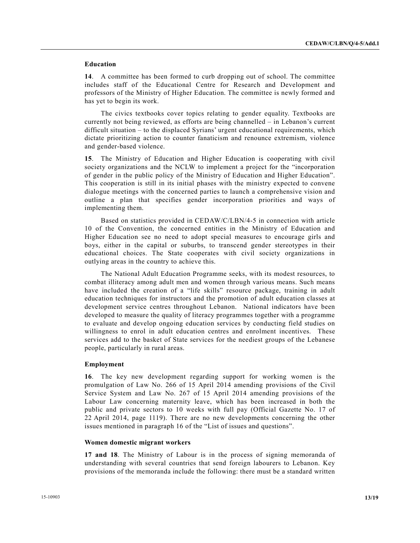### **Education**

**14**. A committee has been formed to curb dropping out of school. The committee includes staff of the Educational Centre for Research and Development and professors of the Ministry of Higher Education. The committee is newly formed and has yet to begin its work.

 The civics textbooks cover topics relating to gender equality. Textbooks are currently not being reviewed, as efforts are being channelled – in Lebanon's current difficult situation – to the displaced Syrians' urgent educational requirements, which dictate prioritizing action to counter fanaticism and renounce extremism, violence and gender-based violence.

**15**. The Ministry of Education and Higher Education is cooperating with civil society organizations and the NCLW to implement a project for the "incorporation of gender in the public policy of the Ministry of Education and Higher Education". This cooperation is still in its initial phases with the ministry expected to convene dialogue meetings with the concerned parties to launch a comprehensive vision and outline a plan that specifies gender incorporation priorities and ways of implementing them.

 Based on statistics provided in CEDAW/C/LBN/4-5 in connection with article 10 of the Convention, the concerned entities in the Ministry of Education and Higher Education see no need to adopt special measures to encourage girls and boys, either in the capital or suburbs, to transcend gender stereotypes in their educational choices. The State cooperates with civil society organizations in outlying areas in the country to achieve this.

 The National Adult Education Programme seeks, with its modest resources, to combat illiteracy among adult men and women through various means. Such means have included the creation of a "life skills" resource package, training in adult education techniques for instructors and the promotion of adult education classes at development service centres throughout Lebanon. National indicators have been developed to measure the quality of literacy programmes together with a programme to evaluate and develop ongoing education services by conducting field studies on willingness to enrol in adult education centres and enrolment incentives. These services add to the basket of State services for the neediest groups of the Lebanese people, particularly in rural areas.

#### **Employment**

**16**. The key new development regarding support for working women is the promulgation of Law No. 266 of 15 April 2014 amending provisions of the Civil Service System and Law No. 267 of 15 April 2014 amending provisions of the Labour Law concerning maternity leave, which has been increased in both the public and private sectors to 10 weeks with full pay (Official Gazette No. 17 of 22 April 2014, page 1119). There are no new developments concerning the other issues mentioned in paragraph 16 of the "List of issues and questions".

#### **Women domestic migrant workers**

**17 and 18**. The Ministry of Labour is in the process of signing memoranda of understanding with several countries that send foreign labourers to Lebanon. Key provisions of the memoranda include the following: there must be a standard written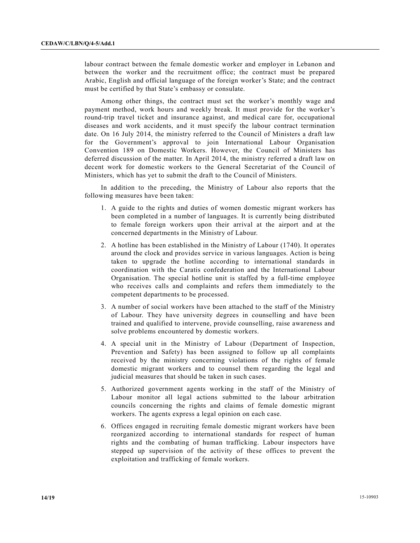labour contract between the female domestic worker and employer in Lebanon and between the worker and the recruitment office; the contract must be prepared Arabic, English and official language of the foreign worker's State; and the contract must be certified by that State's embassy or consulate.

 Among other things, the contract must set the worker's monthly wage and payment method, work hours and weekly break. It must provide for the worker's round-trip travel ticket and insurance against, and medical care for, occupational diseases and work accidents, and it must specify the labour contract termination date. On 16 July 2014, the ministry referred to the Council of Ministers a draft law for the Government's approval to join International Labour Organisation Convention 189 on Domestic Workers. However, the Council of Ministers has deferred discussion of the matter. In April 2014, the ministry referred a draft law on decent work for domestic workers to the General Secretariat of the Council of Ministers, which has yet to submit the draft to the Council of Ministers.

 In addition to the preceding, the Ministry of Labour also reports that the following measures have been taken:

- 1. A guide to the rights and duties of women domestic migrant workers has been completed in a number of languages. It is currently being distributed to female foreign workers upon their arrival at the airport and at the concerned departments in the Ministry of Labour.
- 2. A hotline has been established in the Ministry of Labour (1740). It operates around the clock and provides service in various languages. Action is being taken to upgrade the hotline according to international standards in coordination with the Caratis confederation and the International Labour Organisation. The special hotline unit is staffed by a full-time employee who receives calls and complaints and refers them immediately to the competent departments to be processed.
- 3. A number of social workers have been attached to the staff of the Ministry of Labour. They have university degrees in counselling and have been trained and qualified to intervene, provide counselling, raise awareness and solve problems encountered by domestic workers.
- 4. A special unit in the Ministry of Labour (Department of Inspection, Prevention and Safety) has been assigned to follow up all complaints received by the ministry concerning violations of the rights of female domestic migrant workers and to counsel them regarding the legal and judicial measures that should be taken in such cases.
- 5. Authorized government agents working in the staff of the Ministry of Labour monitor all legal actions submitted to the labour arbitration councils concerning the rights and claims of female domestic migrant workers. The agents express a legal opinion on each case.
- 6. Offices engaged in recruiting female domestic migrant workers have been reorganized according to international standards for respect of human rights and the combating of human trafficking. Labour inspectors have stepped up supervision of the activity of these offices to prevent the exploitation and trafficking of female workers.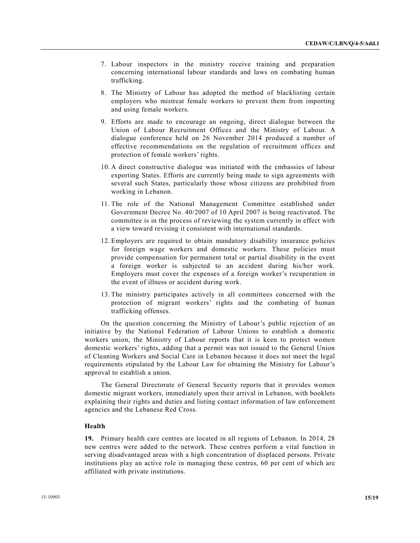- 7. Labour inspectors in the ministry receive training and preparation concerning international labour standards and laws on combating human trafficking.
- 8. The Ministry of Labour has adopted the method of blacklisting certain employers who mistreat female workers to prevent them from importing and using female workers.
- 9. Efforts are made to encourage an ongoing, direct dialogue between the Union of Labour Recruitment Offices and the Ministry of Labour. A dialogue conference held on 26 November 2014 produced a number of effective recommendations on the regulation of recruitment offices and protection of female workers' rights.
- 10. A direct constructive dialogue was initiated with the embassies of labour exporting States. Efforts are currently being made to sign agreements with several such States, particularly those whose citizens are prohibited from working in Lebanon.
- 11. The role of the National Management Committee established under Government Decree No. 40/2007 of 10 April 2007 is being reactivated. The committee is in the process of reviewing the system currently in effect with a view toward revising it consistent with international standards.
- 12. Employers are required to obtain mandatory disability insurance policies for foreign wage workers and domestic workers. These policies must provide compensation for permanent total or partial disability in the event a foreign worker is subjected to an accident during his/her work. Employers must cover the expenses of a foreign worker's recuperation in the event of illness or accident during work.
- 13. The ministry participates actively in all committees concerned with the protection of migrant workers' rights and the combating of human trafficking offenses.

 On the question concerning the Ministry of Labour's public rejection of an initiative by the National Federation of Labour Unions to establish a domestic workers union, the Ministry of Labour reports that it is keen to protect women domestic workers' rights, adding that a permit was not issued to the General Union of Cleaning Workers and Social Care in Lebanon because it does not meet the legal requirements stipulated by the Labour Law for obtaining the Ministry for Labour's approval to establish a union.

 The General Directorate of General Security reports that it provides women domestic migrant workers, immediately upon their arrival in Lebanon, with booklets explaining their rights and duties and listing contact information of law enforcement agencies and the Lebanese Red Cross.

# **Health**

**19.** Primary health care centres are located in all regions of Lebanon. In 2014, 28 new centres were added to the network. These centres perform a vital function in serving disadvantaged areas with a high concentration of displaced persons. Private institutions play an active role in managing these centres, 60 per cent of which are affiliated with private institutions.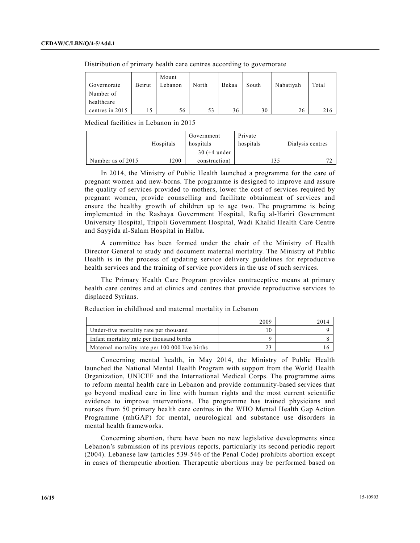| Governorate     | Beirut | Mount<br>Lebanon | North | Bekaa | South | Nabativah | Total |
|-----------------|--------|------------------|-------|-------|-------|-----------|-------|
| Number of       |        |                  |       |       |       |           |       |
| healthcare      |        |                  |       |       |       |           |       |
| centres in 2015 |        | 56               | 53    | 36    | 30    | 26        | 216   |

Distribution of primary health care centres according to governorate

Medical facilities in Lebanon in 2015

|                   |           | Government     | Private   |                  |
|-------------------|-----------|----------------|-----------|------------------|
|                   | Hospitals | hospitals      | hospitals | Dialysis centres |
|                   |           | $30 (+4$ under |           |                  |
| Number as of 2015 | 1200      | construction)  |           | <b>די</b>        |

 In 2014, the Ministry of Public Health launched a programme for the care of pregnant women and new-borns. The programme is designed to improve and assure the quality of services provided to mothers, lower the cost of services required by pregnant women, provide counselling and facilitate obtainment of services and ensure the healthy growth of children up to age two. The programme is being implemented in the Rashaya Government Hospital, Rafiq al-Hariri Government University Hospital, Tripoli Government Hospital, Wadi Khalid Health Care Centre and Sayyida al-Salam Hospital in Halba.

 A committee has been formed under the chair of the Ministry of Health Director General to study and document maternal mortality. The Ministry of Public Health is in the process of updating service delivery guidelines for reproductive health services and the training of service providers in the use of such services.

 The Primary Health Care Program provides contraceptive means at primary health care centres and at clinics and centres that provide reproductive services to displaced Syrians.

|                                                 | 2009 |  |
|-------------------------------------------------|------|--|
| Under-five mortality rate per thousand          |      |  |
| Infant mortality rate per thousand births       |      |  |
| Maternal mortality rate per 100 000 live births |      |  |

Reduction in childhood and maternal mortality in Lebanon

 Concerning mental health, in May 2014, the Ministry of Public Health launched the National Mental Health Program with support from the World Health Organization, UNICEF and the International Medical Corps. The programme aims to reform mental health care in Lebanon and provide community-based services that go beyond medical care in line with human rights and the most current scientific evidence to improve interventions. The programme has trained physicians and nurses from 50 primary health care centres in the WHO Mental Health Gap Action Programme (mhGAP) for mental, neurological and substance use disorders in mental health frameworks.

 Concerning abortion, there have been no new legislative developments since Lebanon's submission of its previous reports, particularly its second periodic report (2004). Lebanese law (articles 539-546 of the Penal Code) prohibits abortion except in cases of therapeutic abortion. Therapeutic abortions may be performed based on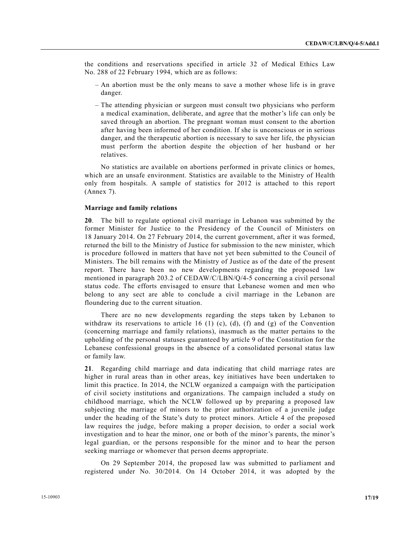the conditions and reservations specified in article 32 of Medical Ethics Law No. 288 of 22 February 1994, which are as follows:

- An abortion must be the only means to save a mother whose life is in grave danger.
- The attending physician or surgeon must consult two physicians who perform a medical examination, deliberate, and agree that the mother's life can only be saved through an abortion. The pregnant woman must consent to the abortion after having been informed of her condition. If she is unconscious or in serious danger, and the therapeutic abortion is necessary to save her life, the physician must perform the abortion despite the objection of her husband or her relatives.

 No statistics are available on abortions performed in private clinics or homes, which are an unsafe environment. Statistics are available to the Ministry of Health only from hospitals. A sample of statistics for 2012 is attached to this report (Annex 7).

#### **Marriage and family relations**

**20**. The bill to regulate optional civil marriage in Lebanon was submitted by the former Minister for Justice to the Presidency of the Council of Ministers on 18 January 2014. On 27 February 2014, the current government, after it was formed, returned the bill to the Ministry of Justice for submission to the new minister, which is procedure followed in matters that have not yet been submitted to the Council of Ministers. The bill remains with the Ministry of Justice as of the date of the present report. There have been no new developments regarding the proposed law mentioned in paragraph 203.2 of CEDAW/C/LBN/Q/4-5 concerning a civil personal status code. The efforts envisaged to ensure that Lebanese women and men who belong to any sect are able to conclude a civil marriage in the Lebanon are floundering due to the current situation.

 There are no new developments regarding the steps taken by Lebanon to withdraw its reservations to article 16 (1) (c), (d), (f) and (g) of the Convention (concerning marriage and family relations), inasmuch as the matter pertains to the upholding of the personal statuses guaranteed by article 9 of the Constitution for the Lebanese confessional groups in the absence of a consolidated personal status law or family law.

**21**. Regarding child marriage and data indicating that child marriage rates are higher in rural areas than in other areas, key initiatives have been undertaken to limit this practice. In 2014, the NCLW organized a campaign with the participation of civil society institutions and organizations. The campaign included a study on childhood marriage, which the NCLW followed up by preparing a proposed law subjecting the marriage of minors to the prior authorization of a juvenile judge under the heading of the State's duty to protect minors. Article 4 of the proposed law requires the judge, before making a proper decision, to order a social work investigation and to hear the minor, one or both of the minor's parents, the minor's legal guardian, or the persons responsible for the minor and to hear the person seeking marriage or whomever that person deems appropriate.

 On 29 September 2014, the proposed law was submitted to parliament and registered under No. 30/2014. On 14 October 2014, it was adopted by the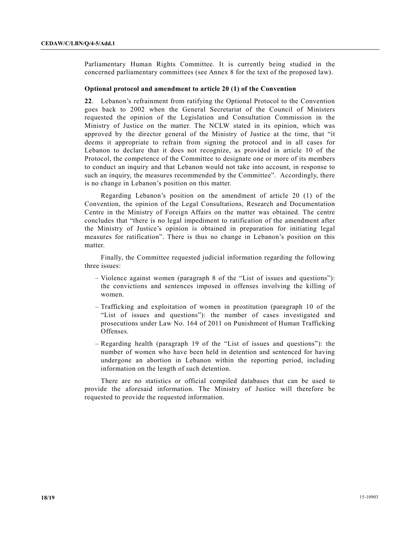Parliamentary Human Rights Committee. It is currently being studied in the concerned parliamentary committees (see Annex 8 for the text of the proposed law).

#### **Optional protocol and amendment to article 20 (1) of the Convention**

**22**. Lebanon's refrainment from ratifying the Optional Protocol to the Convention goes back to 2002 when the General Secretariat of the Council of Ministers requested the opinion of the Legislation and Consultation Commission in the Ministry of Justice on the matter. The NCLW stated in its opinion, which was approved by the director general of the Ministry of Justice at the time, that "it deems it appropriate to refrain from signing the protocol and in all cases for Lebanon to declare that it does not recognize, as provided in article 10 of the Protocol, the competence of the Committee to designate one or more of its members to conduct an inquiry and that Lebanon would not take into account, in response to such an inquiry, the measures recommended by the Committee". Accordingly, there is no change in Lebanon's position on this matter.

 Regarding Lebanon's position on the amendment of article 20 (1) of the Convention, the opinion of the Legal Consultations, Research and Documentation Centre in the Ministry of Foreign Affairs on the matter was obtained. The centre concludes that "there is no legal impediment to ratification of the amendment after the Ministry of Justice's opinion is obtained in preparation for initiating legal measures for ratification". There is thus no change in Lebanon's position on this matter.

 Finally, the Committee requested judicial information regarding the following three issues:

- Violence against women (paragraph 8 of the "List of issues and questions"): the convictions and sentences imposed in offenses involving the killing of women.
- Trafficking and exploitation of women in prostitution (paragraph 10 of the "List of issues and questions"): the number of cases investigated and prosecutions under Law No. 164 of 2011 on Punishment of Human Trafficking Offenses.
- Regarding health (paragraph 19 of the "List of issues and questions"): the number of women who have been held in detention and sentenced for having undergone an abortion in Lebanon within the reporting period, including information on the length of such detention.

 There are no statistics or official compiled databases that can be used to provide the aforesaid information. The Ministry of Justice will therefore be requested to provide the requested information.